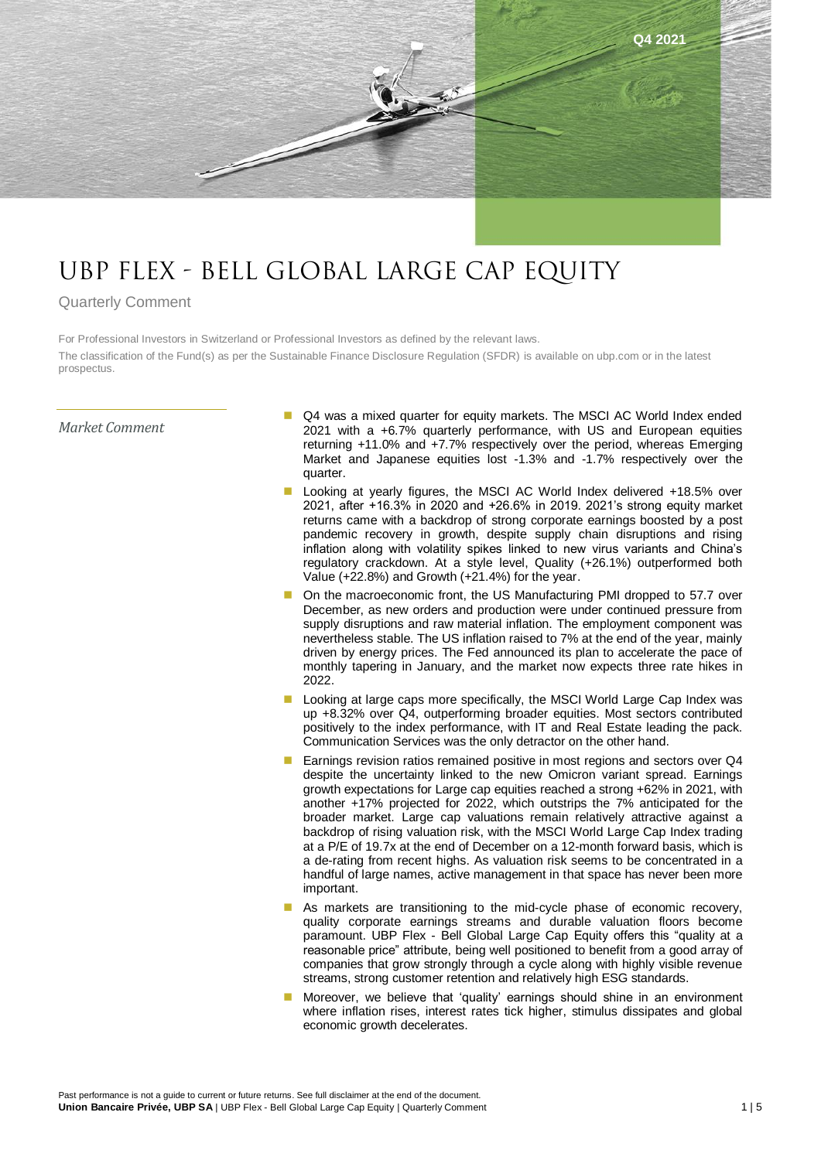

## UBP FLEX - BELL GLOBAL LARGE CAP EQUITY

## Quarterly Comment

For Professional Investors in Switzerland or Professional Investors as defined by the relevant laws. The classification of the Fund(s) as per the Sustainable Finance Disclosure Regulation (SFDR) is available on ubp.com or in the latest prospectus.

## *Market Comment*

- Q4 was a mixed quarter for equity markets. The MSCI AC World Index ended 2021 with a +6.7% quarterly performance, with US and European equities returning +11.0% and +7.7% respectively over the period, whereas Emerging Market and Japanese equities lost -1.3% and -1.7% respectively over the quarter.
- Looking at yearly figures, the MSCI AC World Index delivered +18.5% over 2021, after +16.3% in 2020 and +26.6% in 2019. 2021's strong equity market returns came with a backdrop of strong corporate earnings boosted by a post pandemic recovery in growth, despite supply chain disruptions and rising inflation along with volatility spikes linked to new virus variants and China's regulatory crackdown. At a style level, Quality (+26.1%) outperformed both Value (+22.8%) and Growth (+21.4%) for the year.
- On the macroeconomic front, the US Manufacturing PMI dropped to 57.7 over December, as new orders and production were under continued pressure from supply disruptions and raw material inflation. The employment component was nevertheless stable. The US inflation raised to 7% at the end of the year, mainly driven by energy prices. The Fed announced its plan to accelerate the pace of monthly tapering in January, and the market now expects three rate hikes in 2022.
- Looking at large caps more specifically, the MSCI World Large Cap Index was up +8.32% over Q4, outperforming broader equities. Most sectors contributed positively to the index performance, with IT and Real Estate leading the pack. Communication Services was the only detractor on the other hand.
- Earnings revision ratios remained positive in most regions and sectors over Q4 despite the uncertainty linked to the new Omicron variant spread. Earnings growth expectations for Large cap equities reached a strong +62% in 2021, with another +17% projected for 2022, which outstrips the 7% anticipated for the broader market. Large cap valuations remain relatively attractive against a backdrop of rising valuation risk, with the MSCI World Large Cap Index trading at a P/E of 19.7x at the end of December on a 12-month forward basis, which is a de-rating from recent highs. As valuation risk seems to be concentrated in a handful of large names, active management in that space has never been more important.
- As markets are transitioning to the mid-cycle phase of economic recovery, quality corporate earnings streams and durable valuation floors become paramount. UBP Flex - Bell Global Large Cap Equity offers this "quality at a reasonable price" attribute, being well positioned to benefit from a good array of companies that grow strongly through a cycle along with highly visible revenue streams, strong customer retention and relatively high ESG standards.
- Moreover, we believe that 'quality' earnings should shine in an environment where inflation rises, interest rates tick higher, stimulus dissipates and global economic growth decelerates.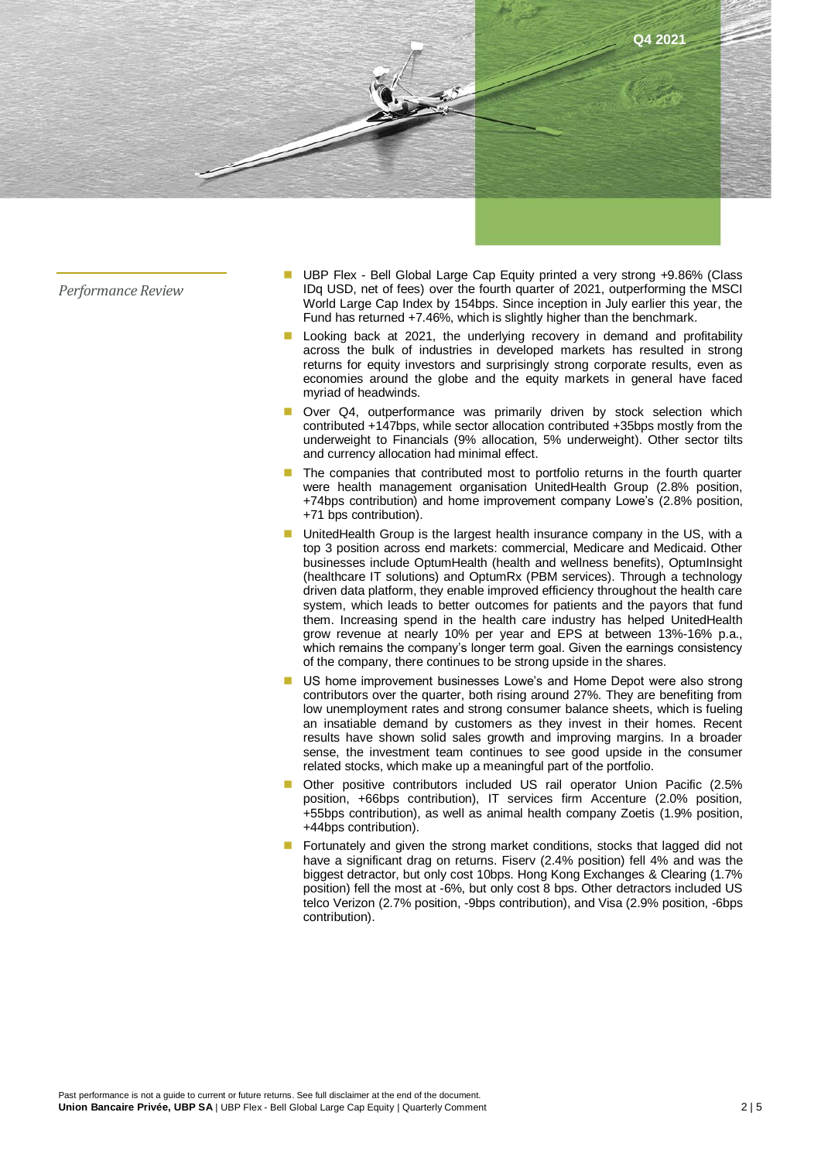

*Performance Review*

- UBP Flex Bell Global Large Cap Equity printed a very strong +9.86% (Class IDq USD, net of fees) over the fourth quarter of 2021, outperforming the MSCI World Large Cap Index by 154bps. Since inception in July earlier this year, the Fund has returned +7.46%, which is slightly higher than the benchmark.
- Looking back at 2021, the underlying recovery in demand and profitability across the bulk of industries in developed markets has resulted in strong returns for equity investors and surprisingly strong corporate results, even as economies around the globe and the equity markets in general have faced myriad of headwinds.
- Over Q4, outperformance was primarily driven by stock selection which contributed +147bps, while sector allocation contributed +35bps mostly from the underweight to Financials (9% allocation, 5% underweight). Other sector tilts and currency allocation had minimal effect.
- The companies that contributed most to portfolio returns in the fourth quarter were health management organisation UnitedHealth Group (2.8% position, +74bps contribution) and home improvement company Lowe's (2.8% position, +71 bps contribution).
- UnitedHealth Group is the largest health insurance company in the US, with a top 3 position across end markets: commercial, Medicare and Medicaid. Other businesses include OptumHealth (health and wellness benefits), OptumInsight (healthcare IT solutions) and OptumRx (PBM services). Through a technology driven data platform, they enable improved efficiency throughout the health care system, which leads to better outcomes for patients and the payors that fund them. Increasing spend in the health care industry has helped UnitedHealth grow revenue at nearly 10% per year and EPS at between 13%-16% p.a., which remains the company's longer term goal. Given the earnings consistency of the company, there continues to be strong upside in the shares.
- US home improvement businesses Lowe's and Home Depot were also strong contributors over the quarter, both rising around 27%. They are benefiting from low unemployment rates and strong consumer balance sheets, which is fueling an insatiable demand by customers as they invest in their homes. Recent results have shown solid sales growth and improving margins. In a broader sense, the investment team continues to see good upside in the consumer related stocks, which make up a meaningful part of the portfolio.
- Other positive contributors included US rail operator Union Pacific (2.5% position, +66bps contribution), IT services firm Accenture (2.0% position, +55bps contribution), as well as animal health company Zoetis (1.9% position, +44bps contribution).
- Fortunately and given the strong market conditions, stocks that lagged did not have a significant drag on returns. Fiserv (2.4% position) fell 4% and was the biggest detractor, but only cost 10bps. Hong Kong Exchanges & Clearing (1.7% position) fell the most at -6%, but only cost 8 bps. Other detractors included US telco Verizon (2.7% position, -9bps contribution), and Visa (2.9% position, -6bps contribution).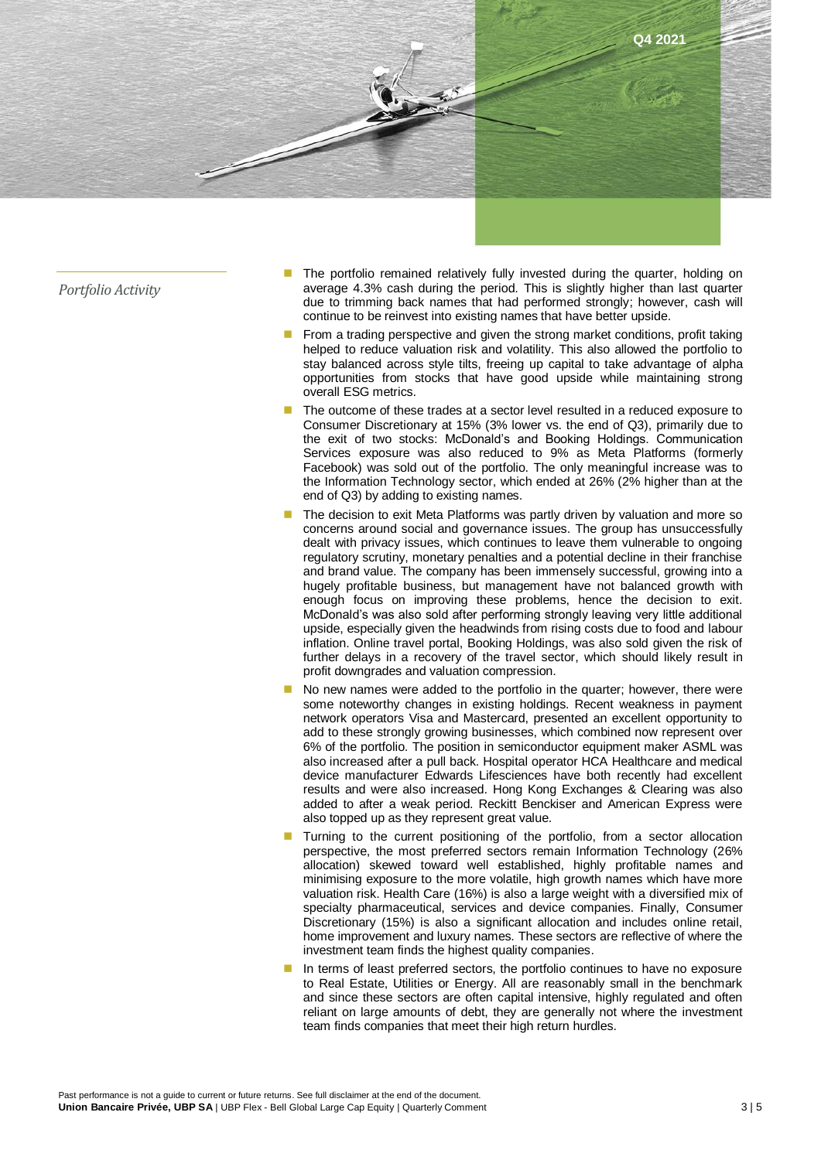

*Portfolio Activity*

- The portfolio remained relatively fully invested during the quarter, holding on average 4.3% cash during the period. This is slightly higher than last quarter due to trimming back names that had performed strongly; however, cash will continue to be reinvest into existing names that have better upside.
- From a trading perspective and given the strong market conditions, profit taking helped to reduce valuation risk and volatility. This also allowed the portfolio to stay balanced across style tilts, freeing up capital to take advantage of alpha opportunities from stocks that have good upside while maintaining strong overall ESG metrics.
- The outcome of these trades at a sector level resulted in a reduced exposure to Consumer Discretionary at 15% (3% lower vs. the end of Q3), primarily due to the exit of two stocks: McDonald's and Booking Holdings. Communication Services exposure was also reduced to 9% as Meta Platforms (formerly Facebook) was sold out of the portfolio. The only meaningful increase was to the Information Technology sector, which ended at 26% (2% higher than at the end of Q3) by adding to existing names.
- The decision to exit Meta Platforms was partly driven by valuation and more so concerns around social and governance issues. The group has unsuccessfully dealt with privacy issues, which continues to leave them vulnerable to ongoing regulatory scrutiny, monetary penalties and a potential decline in their franchise and brand value. The company has been immensely successful, growing into a hugely profitable business, but management have not balanced growth with enough focus on improving these problems, hence the decision to exit. McDonald's was also sold after performing strongly leaving very little additional upside, especially given the headwinds from rising costs due to food and labour inflation. Online travel portal, Booking Holdings, was also sold given the risk of further delays in a recovery of the travel sector, which should likely result in profit downgrades and valuation compression.
- No new names were added to the portfolio in the quarter; however, there were some noteworthy changes in existing holdings. Recent weakness in payment network operators Visa and Mastercard, presented an excellent opportunity to add to these strongly growing businesses, which combined now represent over 6% of the portfolio. The position in semiconductor equipment maker ASML was also increased after a pull back. Hospital operator HCA Healthcare and medical device manufacturer Edwards Lifesciences have both recently had excellent results and were also increased. Hong Kong Exchanges & Clearing was also added to after a weak period. Reckitt Benckiser and American Express were also topped up as they represent great value.
- Turning to the current positioning of the portfolio, from a sector allocation perspective, the most preferred sectors remain Information Technology (26% allocation) skewed toward well established, highly profitable names and minimising exposure to the more volatile, high growth names which have more valuation risk. Health Care (16%) is also a large weight with a diversified mix of specialty pharmaceutical, services and device companies. Finally, Consumer Discretionary (15%) is also a significant allocation and includes online retail, home improvement and luxury names. These sectors are reflective of where the investment team finds the highest quality companies.
- In terms of least preferred sectors, the portfolio continues to have no exposure to Real Estate, Utilities or Energy. All are reasonably small in the benchmark and since these sectors are often capital intensive, highly regulated and often reliant on large amounts of debt, they are generally not where the investment team finds companies that meet their high return hurdles.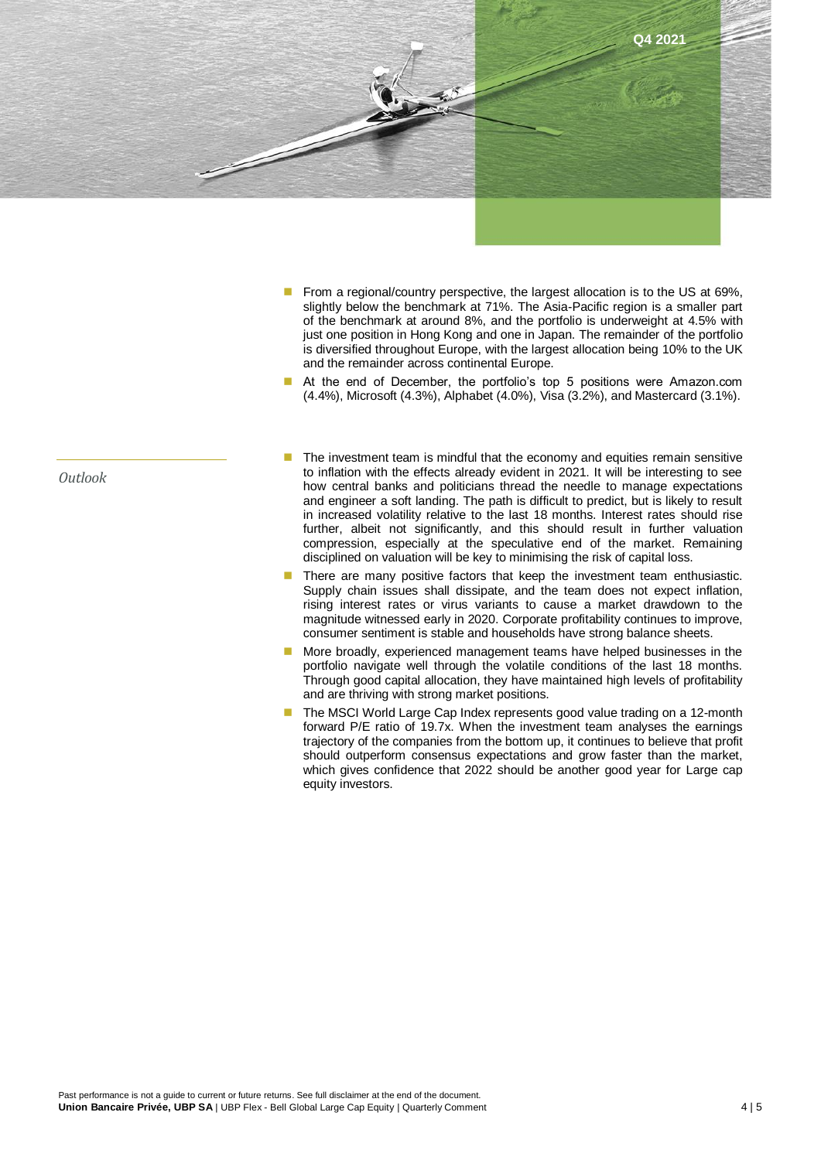

- From a regional/country perspective, the largest allocation is to the US at 69%, slightly below the benchmark at 71%. The Asia-Pacific region is a smaller part of the benchmark at around 8%, and the portfolio is underweight at 4.5% with just one position in Hong Kong and one in Japan. The remainder of the portfolio is diversified throughout Europe, with the largest allocation being 10% to the UK and the remainder across continental Europe.
- At the end of December, the portfolio's top 5 positions were Amazon.com (4.4%), Microsoft (4.3%), Alphabet (4.0%), Visa (3.2%), and Mastercard (3.1%).
- The investment team is mindful that the economy and equities remain sensitive to inflation with the effects already evident in 2021. It will be interesting to see how central banks and politicians thread the needle to manage expectations and engineer a soft landing. The path is difficult to predict, but is likely to result in increased volatility relative to the last 18 months. Interest rates should rise further, albeit not significantly, and this should result in further valuation compression, especially at the speculative end of the market. Remaining disciplined on valuation will be key to minimising the risk of capital loss.
- There are many positive factors that keep the investment team enthusiastic. Supply chain issues shall dissipate, and the team does not expect inflation, rising interest rates or virus variants to cause a market drawdown to the magnitude witnessed early in 2020. Corporate profitability continues to improve, consumer sentiment is stable and households have strong balance sheets.
- More broadly, experienced management teams have helped businesses in the portfolio navigate well through the volatile conditions of the last 18 months. Through good capital allocation, they have maintained high levels of profitability and are thriving with strong market positions.
- The MSCI World Large Cap Index represents good value trading on a 12-month forward P/E ratio of 19.7x. When the investment team analyses the earnings trajectory of the companies from the bottom up, it continues to believe that profit should outperform consensus expectations and grow faster than the market, which gives confidence that 2022 should be another good year for Large cap equity investors.

*Outlook*